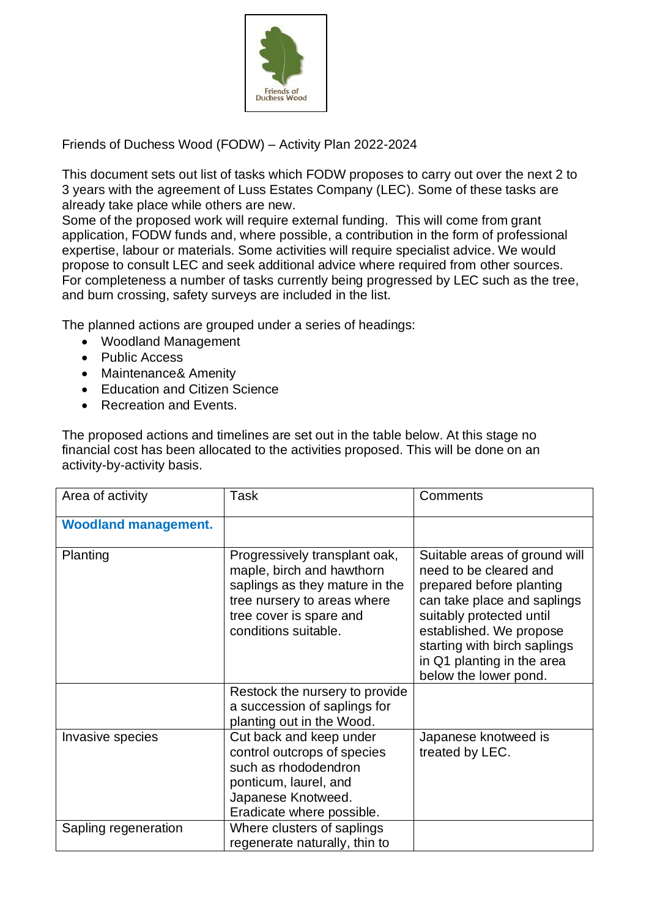

Friends of Duchess Wood (FODW) – Activity Plan 2022-2024

This document sets out list of tasks which FODW proposes to carry out over the next 2 to 3 years with the agreement of Luss Estates Company (LEC). Some of these tasks are already take place while others are new.

Some of the proposed work will require external funding. This will come from grant application, FODW funds and, where possible, a contribution in the form of professional expertise, labour or materials. Some activities will require specialist advice. We would propose to consult LEC and seek additional advice where required from other sources. For completeness a number of tasks currently being progressed by LEC such as the tree, and burn crossing, safety surveys are included in the list.

The planned actions are grouped under a series of headings:

- Woodland Management
- Public Access
- Maintenance& Amenity
- Education and Citizen Science
- Recreation and Events.

The proposed actions and timelines are set out in the table below. At this stage no financial cost has been allocated to the activities proposed. This will be done on an activity-by-activity basis.

| Area of activity            | <b>Task</b>                                                                                                                                                                    | Comments                                                                                                                                                                                                                                                         |
|-----------------------------|--------------------------------------------------------------------------------------------------------------------------------------------------------------------------------|------------------------------------------------------------------------------------------------------------------------------------------------------------------------------------------------------------------------------------------------------------------|
| <b>Woodland management.</b> |                                                                                                                                                                                |                                                                                                                                                                                                                                                                  |
| Planting                    | Progressively transplant oak,<br>maple, birch and hawthorn<br>saplings as they mature in the<br>tree nursery to areas where<br>tree cover is spare and<br>conditions suitable. | Suitable areas of ground will<br>need to be cleared and<br>prepared before planting<br>can take place and saplings<br>suitably protected until<br>established. We propose<br>starting with birch saplings<br>in Q1 planting in the area<br>below the lower pond. |
|                             | Restock the nursery to provide<br>a succession of saplings for<br>planting out in the Wood.                                                                                    |                                                                                                                                                                                                                                                                  |
| Invasive species            | Cut back and keep under<br>control outcrops of species<br>such as rhododendron<br>ponticum, laurel, and<br>Japanese Knotweed.<br>Eradicate where possible.                     | Japanese knotweed is<br>treated by LEC.                                                                                                                                                                                                                          |
| Sapling regeneration        | Where clusters of saplings<br>regenerate naturally, thin to                                                                                                                    |                                                                                                                                                                                                                                                                  |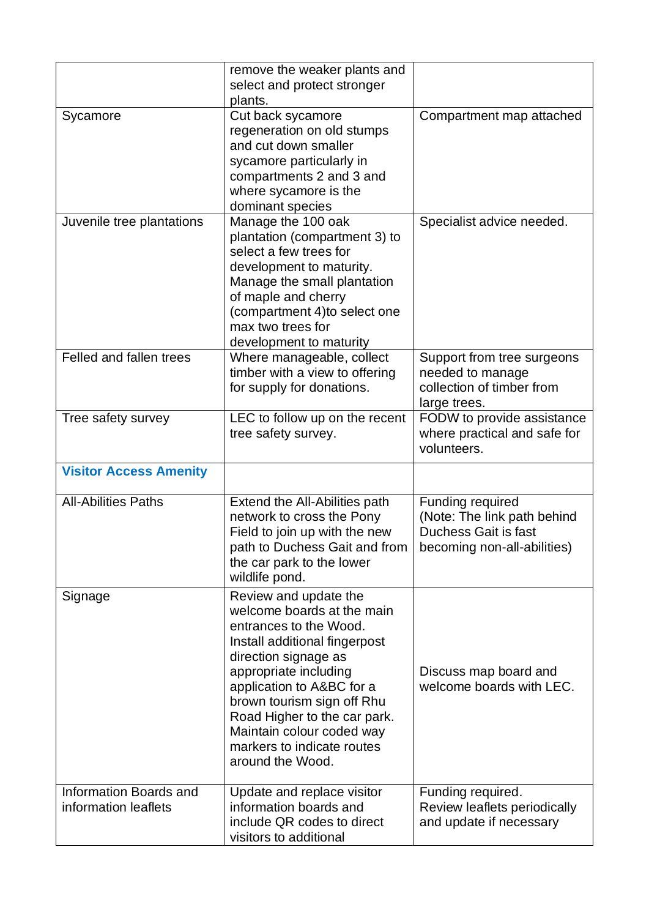|                                                | remove the weaker plants and<br>select and protect stronger<br>plants.                                                                                                                                                                                                                                                                    |                                                                                                               |
|------------------------------------------------|-------------------------------------------------------------------------------------------------------------------------------------------------------------------------------------------------------------------------------------------------------------------------------------------------------------------------------------------|---------------------------------------------------------------------------------------------------------------|
| Sycamore                                       | Cut back sycamore<br>regeneration on old stumps<br>and cut down smaller<br>sycamore particularly in<br>compartments 2 and 3 and<br>where sycamore is the<br>dominant species                                                                                                                                                              | Compartment map attached                                                                                      |
| Juvenile tree plantations                      | Manage the 100 oak<br>plantation (compartment 3) to<br>select a few trees for<br>development to maturity.<br>Manage the small plantation<br>of maple and cherry<br>(compartment 4) to select one<br>max two trees for<br>development to maturity                                                                                          | Specialist advice needed.                                                                                     |
| Felled and fallen trees                        | Where manageable, collect<br>timber with a view to offering<br>for supply for donations.                                                                                                                                                                                                                                                  | Support from tree surgeons<br>needed to manage<br>collection of timber from<br>large trees.                   |
| Tree safety survey                             | LEC to follow up on the recent<br>tree safety survey.                                                                                                                                                                                                                                                                                     | FODW to provide assistance<br>where practical and safe for<br>volunteers.                                     |
| <b>Visitor Access Amenity</b>                  |                                                                                                                                                                                                                                                                                                                                           |                                                                                                               |
| <b>All-Abilities Paths</b>                     | Extend the All-Abilities path<br>network to cross the Pony<br>Field to join up with the new<br>path to Duchess Gait and from<br>the car park to the lower<br>wildlife pond.                                                                                                                                                               | Funding required<br>(Note: The link path behind<br><b>Duchess Gait is fast</b><br>becoming non-all-abilities) |
| Signage                                        | Review and update the<br>welcome boards at the main<br>entrances to the Wood.<br>Install additional fingerpost<br>direction signage as<br>appropriate including<br>application to A&BC for a<br>brown tourism sign off Rhu<br>Road Higher to the car park.<br>Maintain colour coded way<br>markers to indicate routes<br>around the Wood. | Discuss map board and<br>welcome boards with LEC.                                                             |
| Information Boards and<br>information leaflets | Update and replace visitor<br>information boards and<br>include QR codes to direct<br>visitors to additional                                                                                                                                                                                                                              | Funding required.<br>Review leaflets periodically<br>and update if necessary                                  |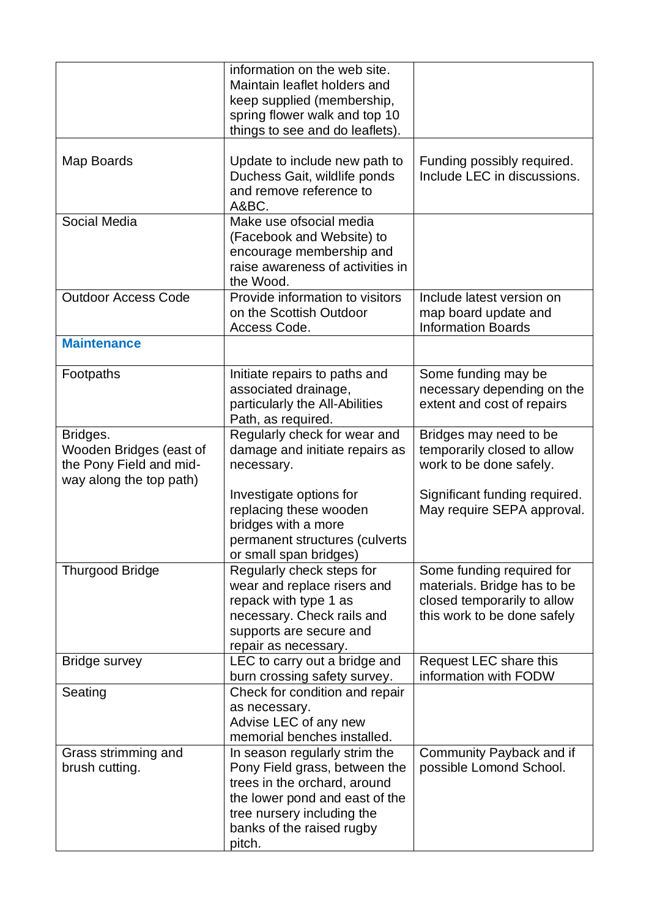|                                                                                           | information on the web site.<br>Maintain leaflet holders and<br>keep supplied (membership,<br>spring flower walk and top 10<br>things to see and do leaflets).                                        |                                                                                                                        |
|-------------------------------------------------------------------------------------------|-------------------------------------------------------------------------------------------------------------------------------------------------------------------------------------------------------|------------------------------------------------------------------------------------------------------------------------|
| Map Boards                                                                                | Update to include new path to<br>Duchess Gait, wildlife ponds<br>and remove reference to<br>A&BC.                                                                                                     | Funding possibly required.<br>Include LEC in discussions.                                                              |
| Social Media                                                                              | Make use ofsocial media<br>(Facebook and Website) to<br>encourage membership and<br>raise awareness of activities in<br>the Wood.                                                                     |                                                                                                                        |
| <b>Outdoor Access Code</b>                                                                | Provide information to visitors<br>on the Scottish Outdoor<br>Access Code.                                                                                                                            | Include latest version on<br>map board update and<br><b>Information Boards</b>                                         |
| <b>Maintenance</b>                                                                        |                                                                                                                                                                                                       |                                                                                                                        |
| Footpaths                                                                                 | Initiate repairs to paths and<br>associated drainage,<br>particularly the All-Abilities<br>Path, as required.                                                                                         | Some funding may be<br>necessary depending on the<br>extent and cost of repairs                                        |
| Bridges.<br>Wooden Bridges (east of<br>the Pony Field and mid-<br>way along the top path) | Regularly check for wear and<br>damage and initiate repairs as<br>necessary.                                                                                                                          | Bridges may need to be<br>temporarily closed to allow<br>work to be done safely.                                       |
|                                                                                           | Investigate options for<br>replacing these wooden<br>bridges with a more<br>permanent structures (culverts<br>or small span bridges)                                                                  | Significant funding required.<br>May require SEPA approval.                                                            |
| <b>Thurgood Bridge</b>                                                                    | Regularly check steps for<br>wear and replace risers and<br>repack with type 1 as<br>necessary. Check rails and<br>supports are secure and<br>repair as necessary.                                    | Some funding required for<br>materials. Bridge has to be<br>closed temporarily to allow<br>this work to be done safely |
| <b>Bridge survey</b>                                                                      | LEC to carry out a bridge and<br>burn crossing safety survey.                                                                                                                                         | Request LEC share this<br>information with FODW                                                                        |
| Seating                                                                                   | Check for condition and repair<br>as necessary.<br>Advise LEC of any new<br>memorial benches installed.                                                                                               |                                                                                                                        |
| Grass strimming and<br>brush cutting.                                                     | In season regularly strim the<br>Pony Field grass, between the<br>trees in the orchard, around<br>the lower pond and east of the<br>tree nursery including the<br>banks of the raised rugby<br>pitch. | Community Payback and if<br>possible Lomond School.                                                                    |